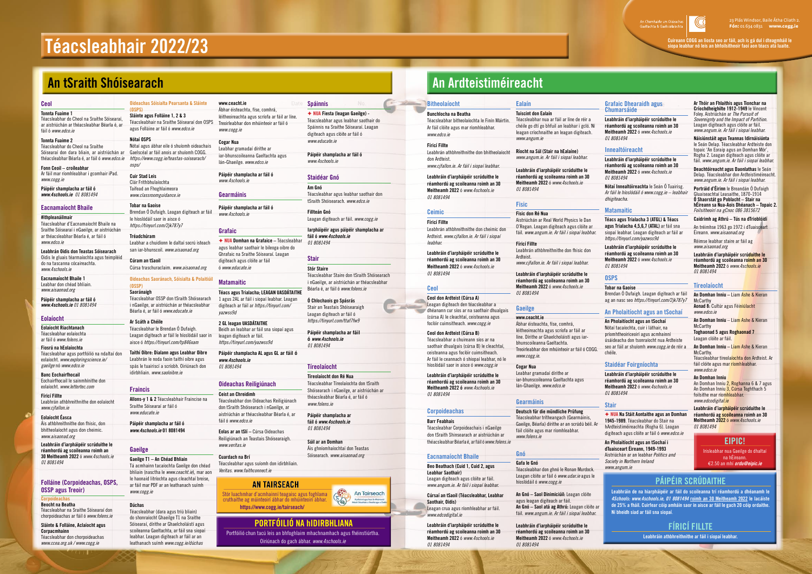# **Téacsleabhair 2022/23**

#### **Ceol**

**Tonnta Fuaime 1**

Téacsleabhar do Cheol na Sraithe Sóisearaí, ar aistriúchán ar théacsleabhar Béarla é, ar fáil ó *www.edco.ie*

#### **Tonnta Fuaime 2**

**Fonn Ceoil – croíleabhar** Ar fáil mar ríomhleabhar i gcomhair iPad. *www.cogg.ie*

**Páipéir shamplacha ar fáil ó**  *www.4schools.ie 01 8081494*

#### **Eacnamaíocht Bhaile**

#### **#ithpleanáilmair**

Téacsleabhar d'Eacnamaíocht Bhaile na Sraithe Sóisearaí i nGaeilge, ar aistriúchán ar théacsleabhar Béarla é, ar fáil ó *www.edco.ie* 

**Leabhrán Oidis don Teastas Sóisearach** Oidis le gluais téarmaíochta agus teimpléid do na tascanna cócaireachta. *www.4schools.ie*

**Eacnamaíocht Bhaile 1** Leabhar don chéad bhliain. *www.aisaonad.org*

**Páipéir shamplacha ar fáil ó**  *www.4schools.ie 01 8081494*

#### **Eolaíocht**

**Eolaíocht Riachtanach** Téacsleabhar eolaíochta ar fáil ó *www.folens.ie*

**Fiosrú na hEolaíochta** Téacsleabhar agus portfóilió na ndaltaí don eolaíocht. *www.exploringscience.ie/ gaeilge* nó *www.edco.ie*

Téacsleabhar do Cheol na Sraithe Sóisearaí don dara bliain, ar aistriúchán ar théacsleabhar Béarla é, ar fáil ó *www.edco.ie https://www.cogg.ie/teastas-soisearach/*

**Banc Eochairfhocail** Eochairfhocail le sainmhínithe don eolaíocht. *www.lettertec.com*

**Fíricí Fillte** Leabhrán athbhreithnithe don eolaíocht *www.cjfallon.ie*

#### **Oideachas Saoránach, Sóisialta & Polaitiú (OSSP)**

#### **Eolaíocht Éasca**

Áis athbhreithnithe don fhisic, don bhitheolaíocht agus don cheimic. *www.aisaonad.org*

**Leabhráin d'iarpháipéir scrúduithe le réamhordú ag scoileanna roimh an 30 Meitheamh 2022** ó *www.4schools.ie 01 8081494*

#### **Folláine (Corpoideachas, OSPS, OSSP agus Treoir)**

#### **Corpoideachas**

**Beocht na Beatha**  Téacsleabhar na Sraithe Sóisearaí don chorpoideachas ar fáil ó *www.folens.ie* 

**Sláinte & Folláine, Aclaíocht agus Corpacmhainn** Téacsleabhar don chorpoideachas *www.ccea.org.uk / www.cogg.ie*

**Oideachas Sóisialta Pearsanta & Sláinte** 

**(OSPS) Sláinte agus Folláine 1, 2 & 3**  Téacsleabhair na Sraithe Sóisearaí don OSPS agus Folláine ar fáil ó *www.edco.ie*

#### **Nótaí OSPS**

Nótaí agus ábhar eile ó shuíomh oideachais Gaelscéal ar fáil anois ar shuíomh COGG. *osps/*

**Cuir Stad Leis** Clár Frithbhulaíochta Taifead an Fhoghlaimeora *www.classroomguidance.ie*

**Tobar na Gaoise**  Brendan Ó Dufaigh. Leagan digiteach ar fáil le híoslódáil saor in aisce ó *https://tinyurl.com/2jk787y7* 

**Tréadchúram** Leabhar a chuidíonn le daltaí socrú isteach san iar-bhunscoil. *www.aisaonad.org*

**Cúram an tSaoil** Cúrsa traschuraclaim. *www.aisaonad.org*

**Saoránaigh** Téacsleabhar OSSP don tSraith Shóisearach i nGaeilge, ar aistriúchán ar théacsleabhar Béarla é, ar fáil ó *www.educate.ie*

#### **Ar Scáth a Chéile**

Téacsleabhar le Brendan Ó Dufaigh. Leagan digiteach ar fáil le híoslódáil saor in aisce ó *https://tinyurl.com/tp846xam*

**Taithí Oibre: Dialann agus Leabhar Oibre** Leabhrán le noda faoin taithí oibre agus spás le tuairiscí a scríobh. Oiriúnach don idirbhliain. *www.saoloibre.ie*

#### **Fraincis**

**Allons-y 1 & 2** Téacsleabhair Fraincise na Sraithe Sóisearaí ar fáil ó *www.educate.ie*

**Páipéir shamplacha ar fáil ó**  *www.4schools.ie* **01 8081494**

#### **Gaeilge**

#### **Gaeilge T1 – An Chéad Bhliain**

Tá acmhainn tacaíochta Gaeilge don chéad bhliain (nasctha le *www.ceacht.ie*), mar aon le haonaid litríochta agus cleachtaí breise, ar fáil mar PDF ar an leathanach suímh *www.cogg.ie* 

#### **Dúchas**

Téacsleabhar (dara agus tríú bliain) do shonraíocht Ghaeilge T1 na Sraithe Sóisearaí, dírithe ar Ghaelcholáistí agus scoileanna Gaeltachta, ar fáil sna siopaí leabhar. Leagan digiteach ar fáil ar an leathanach suímh *www.cogg.ie/dúchas* 

**www.ceacht.ie** Ábhar éisteachta, físe, comhrá, léitheoireachta agus scríofa ar fáil ar líne. Treoirleabhar don mhúinteoir ar fáil ó *www.cogg.ie*

#### **Cogar Nua** Leabhar gramadaí dírithe ar

iar-bhunscoileanna Gaeltachta agus lán-Ghaeilge. *www.edco.ie*

**Páipéir shamplacha ar fáil ó** *www.4schools.ie* **Gearmáinis**

**Páipéir shamplacha ar fáil ó**

*www.4schools.ie*

#### **Grafaic**

F **NUA Domhan na Grafaice –** Téacsleabhar agus leabhar saothair le bileoga oibre do Ghrafaic na Sraithe Sóisearaí. Leagan digiteach agus clóite ar fáil ó *www.educate.ie*

#### **Matamaitic**

**Téacs agus Trialacha; LEAGAN UASDÁTAITHE** 1 agus 2AL ar fáil i siopaí leabhar. Leagan digiteach ar fáil ar *https://tinyurl.com/ yazwss9d*

#### **2 GL leagan UASDÁTAITHE** Beidh an leabhar ar fáil sna siopaí agus

leagan digiteach ar fáil. *https://tinyurl.com/yazwss9d* **Páipéir shamplacha AL agus GL ar fáil ó**  *www.4schools.ie*

*01 8081494*

#### **Oideachas Reiligiúnach**

**Ceist an Chreidimh** Téacsleabhar don Oideachas Reiligiúnach don tSraith Shóisearach i nGaeilge, ar aistriúchán ar théacsleabhar Béarla é, ar fáil ó *www.edco.ie*

**Eolas ar an tSlí –** Cúrsa Oideachas Reiligiúnach an Teastais Shóisearaigh. *www.veritas.ie*

#### **Cuardach na Brí**

Téacsleabhar agus suíomh don idirbhliain. *Veritas. www.faithconnect.ie*

### **AN TAIRSEACH**

**Spáinnis**

F **NUA Fiesta (leagan Gaeilge) -**  Téacsleabhar agus leabhar saothair do Spáinnis na Sraithe Sóisearaí. Leagan

digiteach agus clóite ar fáil ó

*www.educate.ie*

**Páipéir shamplacha ar fáil ó**

*www.4schools.ie*

**Staidéar Gnó** 

**Am Gnó**

Téacsleabhar agus leabhar saothair don tSraith Shóisearach. *www.edco.ie*

**Fillteán Gnó**

Leagan digiteach ar fáil. *www.cogg.ie*

**Iarpháipéir agus páipéir shamplacha ar** 

**fáil ó** *www.4schools.ie*

*01 8081494*

**Stair**

**Stór Staire**

Téacsleabhar Staire don tSraith Shóisearach i nGaeilge, ar aistriúchán ar théacsleabhar

Béarla é, ar fáil ó *www.folens.ie*

**Ó Chlochaois go Spásrás** Stair an Teastais Shóisearaigh Leagan digiteach ar fáil ó *https://tinyurl.com/ttaf7fw9*

**Páipéir shamplacha ar fáil**



## **Tíreolaíocht**

**Tíreolaíocht don Ré Nua** Téacsleabhar Tíreolaíochta don tSraith Shóisearach i nGaeilge, ar aistriúchán ar théacsleabhar Béarla é, ar fáil ó *www.folens.ie*

**Páipéir shamplacha ar fáil ó** *www.4schools.ie 01 8081494*

### **Súil ar an Domhan** Áis ghníomhaíochtaí don Teastas

Sóisearach. *www.aisaonad.org*

S

An Tairseach Acrohainní agus Tacaí de Mhóinte<br>Joail Chleachtais a Cheathú agus a C

**An Domhan Inniu –** Liam Ashe & Kieran **McCarthy** 

**Bunchlocha na Beatha** Téacsleabhar bitheolaíochta le Finín Máirtín. Ar fáil clóite agus mar ríomhleabhar.

# *www.edco.ie*  **Fíricí Fillte** don Ardteist.

Leabhrán athbhreithnithe don bhitheolaíocht

*www.cjfallon.ie. Ar fáil i siopaí leabhar.*

**Leabhráin d'iarpháipéir scrúduithe le réamhordú ag scoileanna roimh an 30 Meitheamh 2022** ó *www.4schools.ie 01 8081494*

#### **Ceimic**

#### **Fíricí Fillte**

Leabhrán athbhreithnithe don cheimic don Ardteist. *www.cjfallon.ie. Ar fáil i siopaí leabhar.*

**Leabhráin d'iarpháipéir scrúduithe le réamhordú ag scoileanna roimh an 30 Meitheamh 2022** ó *www.4schools.ie 01 8081494*

**Ceol**

**And Services** 

**Ceol don Ardteist (Cúrsa A)** Leagan digiteach den téacsleabhar a dhéanann cur síos ar na saothair dhualgais (cúrsa A) le cleachtaí, ceisteanna agus foclóir cuimsitheach. *www.cogg.ie*

#### **Ceol don Ardteist (Cúrsa B)**

Téacsleabhar a chuireann síos ar na saothair dhualgais (cúrsa B) le cleachtaí, ceisteanna agus foclóir cuimsitheach. Ar fáil le ceannach ó shiopaí leabhar, nó le híoslódáil saor in aisce ó *www.cogg.ie*

**Leabhráin d'iarpháipéir scrúduithe le réamhordú ag scoileanna roimh an 30 Meitheamh 2022 ó** *www.4schools.ie 01 8081494*

#### **Corpoideachas**

#### **Barr Feabhais**

Téacsleabhar Corpoideachais i nGaeilge don tSraith Shinsearach ar aistriúchán ar théacsleabhar Béarla é, ar fáil ó *www.folens.ie*

#### **Eacnamaíocht Bhaile**

**Beo Beathach (Cuid 1, Cuid 2, agus Leabhar Saothair)** Leagan digiteach agus clóite ar fáil.

*www.angum.ie. Ar fáil i siopaí leabhar.* **Cúrsaí an tSaoil (Téacsleabhar, Leabhar Saothair, Oidis)**

Leagan crua agus ríomhleabhar ar fáil. *www.edcodigital.ie*

**Leabhráin d'iarpháipéir scrúduithe le réamhordú ag scoileanna roimh an 30 Meitheamh 2022** ó *www.4schools.ie 01 8081494*

An Chomhairle um Oidea<br>Gaeltachta & Gaelscolaío

#### **Ealaín**

**Tuiscint don Ealaín** Téacsleabhar nua ar fáil ar líne de réir a chéile go dtí go bhfuil an leabhar i gcló. Ní leagan críochnaithe an leagan digiteach. *www.angum.ie*

**Ríocht na Súl (Stair na hEalaíne)**  *www.angum.ie. Ar fáil i siopaí leabhar.*

**Leabhráin d'iarpháipéir scrúduithe le réamhordú ag scoileanna roimh an 30 Meitheamh 2022** ó *www.4schools.ie 01 8081494*

#### **Fisic**

#### **Fisic don Ré Nua** Aistriúchán ar Real World Physics le Dan O'Regan. Leagan digiteach agus clóite ar fáil. *www.angum.ie. Ar fáil i siopaí leabhar.*

**Fíricí Fillte** Leabhrán athbhreithnithe don fhisic don Ardteist.

*www.cjfallon.ie. Ar fáil i siopaí leabhar.* **Leabhráin d'iarpháipéir scrúduithe le** 

**réamhordú ag scoileanna roimh an 30 Meitheamh 2022** ó *www.4schools.ie 01 8081494*

#### **Gaeilge www.ceacht.ie** Ábhar éisteachta, físe, comhrá, léitheoireachta agus scríofa ar fáil ar líne. Dírithe ar Ghaelcholáistí agus iarbhunscoileanna Gaeltachta. Treoirleabhar don mhúinteoir ar fáil ó COGG. *www.cogg.ie.*

**Cogar Nua** Leabhar gramadaí dírithe ar iar-bhunscoileanna Gaeltachta agus lán-Ghaeilge. *www.edco.ie* 

#### **Gearmáinis**

#### **Deutsch für die mündliche Prüfung** Téacsleabhar trítheangach (Gearmáinis, Gaeilge, Béarla) dírithe ar an scrúdú béil. Ar fáil clóite agus mar ríomhleabhar. *www.folens.ie*

## **Gnó**

**Gafa le Gnó** Téacsleabhar don ghnó le Ronan Murdock. Leagan clóite ar fáil ó *www.udar.ie* agus le híoslódáil ó *www.cogg.ie*

**An Gnó – Saol Dinimiciúil:** Leagan clóite agus leagan digiteach ar fáil.

**An Gnó – Saol atá ag Athrú:** Leagan clóite ar fáil. *www.angum.ie. Ar fáil i siopaí leabhar.*

**Leabhráin d'iarpháipéir scrúduithe le réamhordú ag scoileanna roimh an 30 Meitheamh 2022** ó *www.4schools.ie 01 8081494*

#### **Grafaic Dhearaidh agus Chumarsáide**

**Leabhráin d'iarpháipéir scrúduithe le réamhordú ag scoileanna roimh an 30 Meitheamh 2022** ó *www.4schools.ie 01 8081494*

#### **Innealtóireacht**

**Leabhráin d'iarpháipéir scrúduithe le réamhordú ag scoileanna roimh an 30 Meitheamh 2022** ó *www.4schools.ie 01 8081494*

**Nótaí Innealtóireachta** le Seán Ó Tuairisg. *Ar fáil le híoslódáil ó www.cogg.ie – leabhair dhigiteacha.*

#### **Matamaitic**

**Téacs agus Trialacha 3 (ATGL) & Téacs agus Trialacha 4,5,6,7 (ATAL)** ar fáil sna siopaí leabhar. Leagan digiteach ar fáil ar *https://tinyurl.com/yazwss9d*

**Leabhráin d'iarpháipéir scrúduithe le réamhordú ag scoileanna roimh an 30 Meitheamh 2022** ó *www.4schools.ie 01 8081494*

#### **OSPS**

**Tobar na Gaoise**  Brendan Ó Dufaigh. Leagan digiteach ar fáil ag an nasc seo *https://tinyurl.com/2jk787y7*

#### **An Pholaitíocht agus an tSochaí**

**An Pholaitíocht agus an tSochaí** Nótaí tacaíochta, cuir i láthair, na príomhtheoiriceoirí agus acmhainní úsáideacha don tsonraíocht nua Ardteiste seo ar fáil ar shuíomh *www.cogg.ie* de réir a chéile.

#### **Staidéar Foirgníochta**

**Leabhráin d'iarpháipéir scrúduithe le réamhordú ag scoileanna roimh an 30 Meitheamh 2022** ó *www.4schools.ie 01 8081494*

#### **Stair**

F **NUA Na Stáit Aontaithe agus an Domhan 1945-1989**. Téacsleabhar do Stair na hArdteistiméireachta (Rogha 6). Leagan digiteach agus clóite ar fáil ó *www.edco.ie*

**An Pholaitíocht agus an tSochaí i dTuaisceart Éireann, 1949-1993** Aistriúchán ar an leabhar *Politics and Society in Northern Ireland www.angum.ie*

#### **Ar Thóir an Fhlaithis agus Tionchar na Críochdheighilte 1912-1949** le Vincent Foley. Aistriúchán ar *The Pursuit of Sovereignty and the Impact of Partition.* Leagan digiteach agus clóite ar fáil. *www.angum.ie. Ar fáil i siopaí leabhar.*

**Náisiúnstáit agus Teannas Idirnáisiúnta** le Seán Delap. Téacsleabhar Ardteiste don topaic 'An Eoraip agus an Domhan Mór', Rogha 2. Leagan digiteach agus clóite ar fáil. *www.angum.ie. Ar fáil i siopaí leabhar.*

**Deachtóireacht agus Daonlathas** le Seán Delap. Téacsleabhar don Ardteistiméireacht. *www.angum.ie. Ar fáil i siopaí leabhar.*

**Portráid d'Éirinn** le Breandán Ó Dufaigh Gluaiseachtaí Leasaithe, 1870-1914 **Ó Shaorstát go Poblacht – Stair na hÉireann sa Nua-Aois Dhéanach – Topaic 2.**  *Foilsitheoirí na gCnoc 086 3815672*

**Caidrimh ag Athrú – Tús na dTrioblóidí**

An tréimhse 1963 go 1972 i dTuaisceart Éireann. *www.aisaonad.org*

Réimse leabhar staire ar fáil ag *www.aisaonad.org*

**Leabhráin d'iarpháipéir scrúduithe le réamhordú ag scoileanna roimh an 30 Meitheamh 2022** ó *www.4schools.ie 01 8081494*

#### **Tíreolaíocht**

**Aonad 8:** Cultúr agus Féiniúlacht *www.edco.ie*

**An Domhan Inniu** – Liam Ashe & Kieran McCarthy

**Toghaonad 5 agus Roghaonad 7** Leagan clóite ar fáil.

**An Domhan Inniu –** Liam Ashe & Kieran McCarthy.

Téacsleabhar tíreolaíochta don Ardteist. Ar fáil clóite agus mar ríomhleabhar. *www.edco.ie*

#### **An Domhan Inniu**

An Domhan Inniu 2, Roghanna 6 & 7 agus An Domhan Inniu 3, Cúrsa Toghthach 5 foilsithe mar ríomhleabhar. *www.edcodigital.ie*

**Leabhráin d'iarpháipéir scrúduithe le réamhordú ag scoileanna roimh an 30 Meitheamh 2022** ó *www.4schools.ie 01 8081494*

# **An tSraith Shóisearach An Ardteistiméireacht**

## **Páipéir Scrúdaithe**

**Leabhráin de na hiarpháipéir ar fáil do scoileanna trí réamhordú a dhéanamh le**  *4Schools: www.4schools.ie, 01 8081494* **roimh an 30 Meitheamh 2022 le lacáiste de 25% a fháil. Cuirfear cóip amháin saor in aisce ar fáil le gach 20 cóip ordaithe. Ní bheidh siad ar fáil sna siopaí**.



**Leabhráin athbhreithnithe ar fáil i siopaí leabhar.**



# **Portfóilió na hIdirbhliana**

Portfóilió chun tacú leis an bhfoghlaim mhachnamhach agus fhéinstiúrtha. Oiriúnach do gach ábhar. *www.4schools.ie*



Stór luachmhar d'acmhainní teagaisc agus foghlama cruthaithe ag múinteoirí ábhar do mhúinteoirí ábhar. **https://www.cogg.ie/tairseach/** 

## **Eipic!**

Irisleabhar nua Gaeilge do dhaltaí na hÉireann. €2.50 an mhí *ordu@eipic.ie*

**Cuireann COGG an liosta seo ar fáil, ach is gá dul i dteagmháil le siopa leabhar nó leis an bhfoilsitheoir faoi aon téacs atá luaite.**

 $\textcircled{\ensuremath{\mathbf{G}}}$ 

### **Bitheolaíocht**